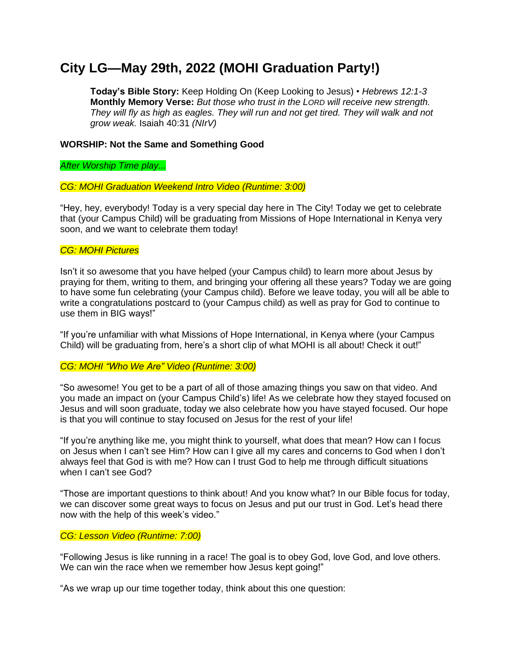# **City LG—May 29th, 2022 (MOHI Graduation Party!)**

**Today's Bible Story:** Keep Holding On (Keep Looking to Jesus) • *Hebrews 12:1-3* **Monthly Memory Verse:** *But those who trust in the LORD will receive new strength. They will fly as high as eagles. They will run and not get tired. They will walk and not grow weak.* Isaiah 40:31 *(NIrV)*

## **WORSHIP: Not the Same and Something Good**

*After Worship Time play...*

#### *CG: MOHI Graduation Weekend Intro Video (Runtime: 3:00)*

"Hey, hey, everybody! Today is a very special day here in The City! Today we get to celebrate that (your Campus Child) will be graduating from Missions of Hope International in Kenya very soon, and we want to celebrate them today!

## *CG: MOHI Pictures*

Isn't it so awesome that you have helped (your Campus child) to learn more about Jesus by praying for them, writing to them, and bringing your offering all these years? Today we are going to have some fun celebrating (your Campus child). Before we leave today, you will all be able to write a congratulations postcard to (your Campus child) as well as pray for God to continue to use them in BIG ways!"

"If you're unfamiliar with what Missions of Hope International, in Kenya where (your Campus Child) will be graduating from, here's a short clip of what MOHI is all about! Check it out!"

#### *CG: MOHI "Who We Are" Video (Runtime: 3:00)*

"So awesome! You get to be a part of all of those amazing things you saw on that video. And you made an impact on (your Campus Child's) life! As we celebrate how they stayed focused on Jesus and will soon graduate, today we also celebrate how you have stayed focused. Our hope is that you will continue to stay focused on Jesus for the rest of your life!

"If you're anything like me, you might think to yourself, what does that mean? How can I focus on Jesus when I can't see Him? How can I give all my cares and concerns to God when I don't always feel that God is with me? How can I trust God to help me through difficult situations when I can't see God?

"Those are important questions to think about! And you know what? In our Bible focus for today, we can discover some great ways to focus on Jesus and put our trust in God. Let's head there now with the help of this week's video."

#### *CG: Lesson Video (Runtime: 7:00)*

"Following Jesus is like running in a race! The goal is to obey God, love God, and love others. We can win the race when we remember how Jesus kept going!"

"As we wrap up our time together today, think about this one question: